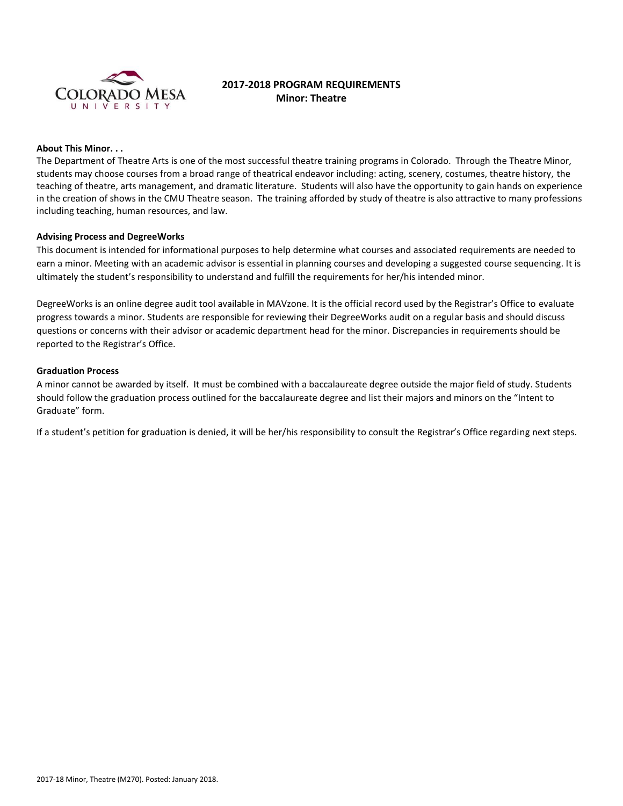

# **2017-2018 PROGRAM REQUIREMENTS Minor: Theatre**

### **About This Minor. . .**

The Department of Theatre Arts is one of the most successful theatre training programs in Colorado. Through the Theatre Minor, students may choose courses from a broad range of theatrical endeavor including: acting, scenery, costumes, theatre history, the teaching of theatre, arts management, and dramatic literature. Students will also have the opportunity to gain hands on experience in the creation of shows in the CMU Theatre season. The training afforded by study of theatre is also attractive to many professions including teaching, human resources, and law.

### **Advising Process and DegreeWorks**

This document is intended for informational purposes to help determine what courses and associated requirements are needed to earn a minor. Meeting with an academic advisor is essential in planning courses and developing a suggested course sequencing. It is ultimately the student's responsibility to understand and fulfill the requirements for her/his intended minor.

DegreeWorks is an online degree audit tool available in MAVzone. It is the official record used by the Registrar's Office to evaluate progress towards a minor. Students are responsible for reviewing their DegreeWorks audit on a regular basis and should discuss questions or concerns with their advisor or academic department head for the minor. Discrepancies in requirements should be reported to the Registrar's Office.

## **Graduation Process**

A minor cannot be awarded by itself. It must be combined with a baccalaureate degree outside the major field of study. Students should follow the graduation process outlined for the baccalaureate degree and list their majors and minors on the "Intent to Graduate" form.

If a student's petition for graduation is denied, it will be her/his responsibility to consult the Registrar's Office regarding next steps.